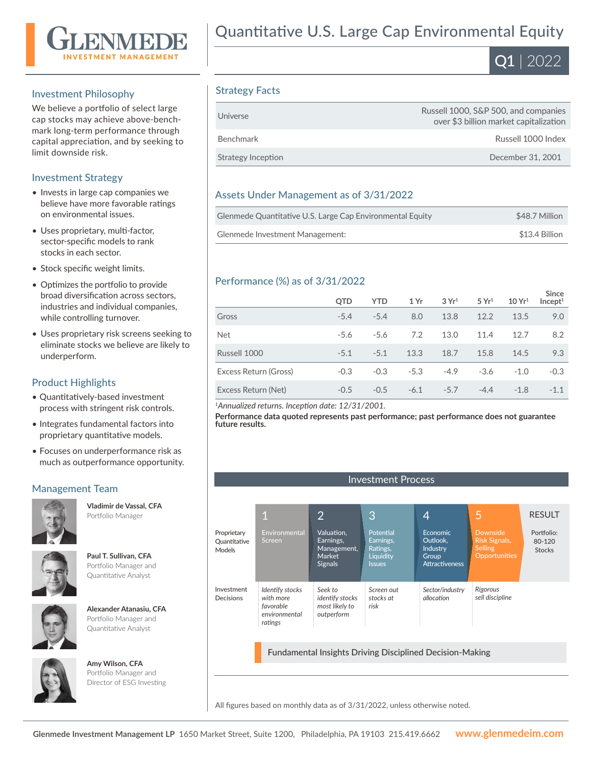

#### Investment Philosophy

We believe a portfolio of select large cap stocks may achieve above-benchmark long-term performance through capital appreciation, and by seeking to limit downside risk.

#### Investment Strategy

- Invests in large cap companies we believe have more favorable ratings on environmental issues.
- Uses proprietary, multi-factor, sector-specific models to rank stocks in each sector.
- Stock specific weight limits.
- Optimizes the portfolio to provide broad diversification across sectors, industries and individual companies, while controlling turnover.
- Uses proprietary risk screens seeking to eliminate stocks we believe are likely to underperform.

#### Product Highlights

- Quantitatively-based investment process with stringent risk controls.
- Integrates fundamental factors into proprietary quantitative models.
- Focuses on underperformance risk as much as outperformance opportunity.

#### Management Team



**Vladimir de Vassal, CFA**  Portfolio Manager







**Alexander Atanasiu, CFA**  Portfolio Manager and Quantitative Analyst



**Amy Wilson, CFA**  Portfolio Manager and Director of ESG Investing

# Quantitative U.S. Large Cap Environmental Equity



#### Strategy Facts

| Universe           | Russell 1000, S&P 500, and companies<br>over \$3 billion market capitalization |
|--------------------|--------------------------------------------------------------------------------|
| Benchmark          | Russell 1000 Index                                                             |
| Strategy Inception | December 31, 2001                                                              |

#### Assets Under Management as of 3/31/2022

| Glenmede Quantitative U.S. Large Cap Environmental Equity | \$48.7 Million |
|-----------------------------------------------------------|----------------|
| Glenmede Investment Management:                           | \$13.4 Billion |

#### Performance (%) as of 3/31/2022

|                       | <b>OTD</b> | <b>YTD</b> | 1 Yr   | 3Yr <sup>1</sup> | 5 Yr <sup>1</sup> | 10 Yr <sup>1</sup> | <b>Since</b><br>Incept <sup>1</sup> |
|-----------------------|------------|------------|--------|------------------|-------------------|--------------------|-------------------------------------|
| Gross                 | $-5.4$     | $-5.4$     | 8.0    | 13.8             | 12.2              | 13.5               | 9.0                                 |
| <b>Net</b>            | $-5.6$     | $-5.6$     | 7.2    | 13.0             | 11.4              | 12.7               | 8.2                                 |
| Russell 1000          | $-5.1$     | $-5.1$     | 13.3   | 18.7             | 15.8              | 14.5               | 9.3                                 |
| Excess Return (Gross) | $-0.3$     | $-0.3$     | $-5.3$ | $-4.9$           | $-3.6$            | $-1.0$             | $-0.3$                              |
| Excess Return (Net)   | $-0.5$     | $-0.5$     | $-6.1$ | $-5.7$           | $-4.4$            | $-1.8$             | $-1.1$                              |

*<sup>1</sup>Annualized returns. Inception date: 12/31/2001.*

**Performance data quoted represents past performance; past performance does not guarantee future results.**

Investment Process

#### 1 2 3 4 Environmental creen *Identify stocks with more favorable environmental ratings* Proprietary **Quantitative** Models Investment Decisions Valuation, Earnings, Management, Market Signals *Seek to identify stocks most likely to outperform* Potential Earnings, Ratings, **Liquidity** Issues *Screen out stocks at risk* Economic Outlook, Industry **Group** Attractiveness *Sector/industry allocation* RESULT Portfolio: 80-120 **Stocks** 5 Risk Signals, Selling Opportunities *Rigorous sell discipline*

Fundamental Insights Driving Disciplined Decision-Making

All figures based on monthly data as of 3/31/2022, unless otherwise noted.